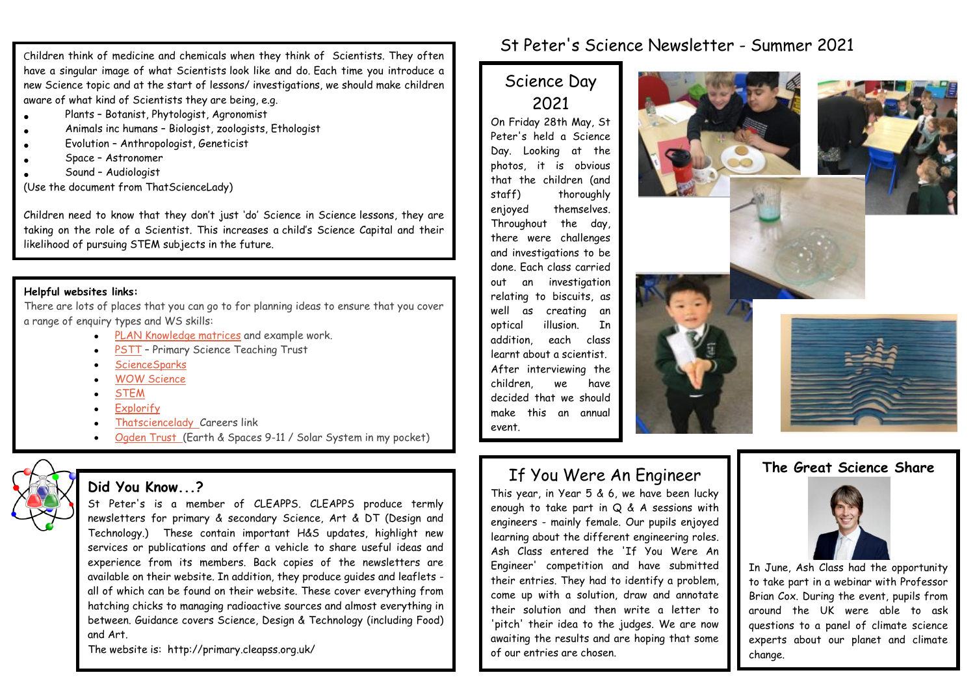Children think of medicine and chemicals when they think of Scientists. They often have a singular image of what Scientists look like and do. Each time you introduce a new Science topic and at the start of lessons/ investigations, we should make children aware of what kind of Scientists they are being, e.g.

- Plants Botanist, Phytologist, Agronomist
- Animals inc humans Biologist, zoologists, Ethologist
- Evolution Anthropologist, Geneticist
- Space Astronomer
- Sound Audiologist

(Use the document from ThatScienceLady)

Children need to know that they don't just 'do' Science in Science lessons, they are taking on the role of a Scientist. This increases a child's Science Capital and their likelihood of pursuing STEM subjects in the future.

### **Helpful websites links:**

There are lots of places that you can go to for planning ideas to ensure that you cover a range of enquiry types and WS skills:

- [PLAN Knowledge matrices](https://www.planassessment.com/plan-knowledge-matrices) and example work.
- [PSTT](https://pstt.org.uk/) Primary Science Teaching Trust
- **[ScienceSparks](https://www.science-sparks.com/)**
- [WOW Science](https://wowscience.co.uk/)
- **[STEM](https://www.stem.org.uk/primary-science)**
- [Explorify](https://explorify.wellcome.ac.uk/en/activities)
- [Thatsciencelady C](https://thatsciencelady.com/resources/)areers link
- [Ogden Trust \(](https://www.ogdentrust.com/resources/resources)Earth & Spaces 9-11 / Solar System in my pocket)

## **Did You Know...?**

St Peter's is a member of CLEAPPS. CLEAPPS produce termly newsletters for primary & secondary Science, Art & DT (Design and Technology.) These contain important H&S updates, highlight new services or publications and offer a vehicle to share useful ideas and experience from its members. Back copies of the newsletters are available on their website. In addition, they produce guides and leaflets all of which can be found on their website. These cover everything from hatching chicks to managing radioactive sources and almost everything in between. Guidance covers Science, Design & Technology (including Food) and Art.

The website is: http://primary.cleapss.org.uk/

## St Peter's Science Newsletter - Summer 2021

# Science Day 2021

On Friday 28th May, St Peter's held a Science Day. Looking at the photos, it is obvious that the children (and staff) thoroughly enjoyed themselves. Throughout the day, there were challenges and investigations to be done. Each class carried out an investigation relating to biscuits, as well as creating an optical illusion. In addition, each class learnt about a scientist. After interviewing the children, we have decided that we should make this an annual event.







# If You Were An Engineer

This year, in Year 5 & 6, we have been lucky enough to take part in Q & A sessions with engineers - mainly female. Our pupils enjoyed learning about the different engineering roles. Ash Class entered the 'If You Were An Engineer' competition and have submitted their entries. They had to identify a problem, come up with a solution, draw and annotate their solution and then write a letter to 'pitch' their idea to the judges. We are now awaiting the results and are hoping that some of our entries are chosen.





In June, Ash Class had the opportunity to take part in a webinar with Professor Brian Cox. During the event, pupils from around the UK were able to ask questions to a panel of climate science experts about our planet and climate change.